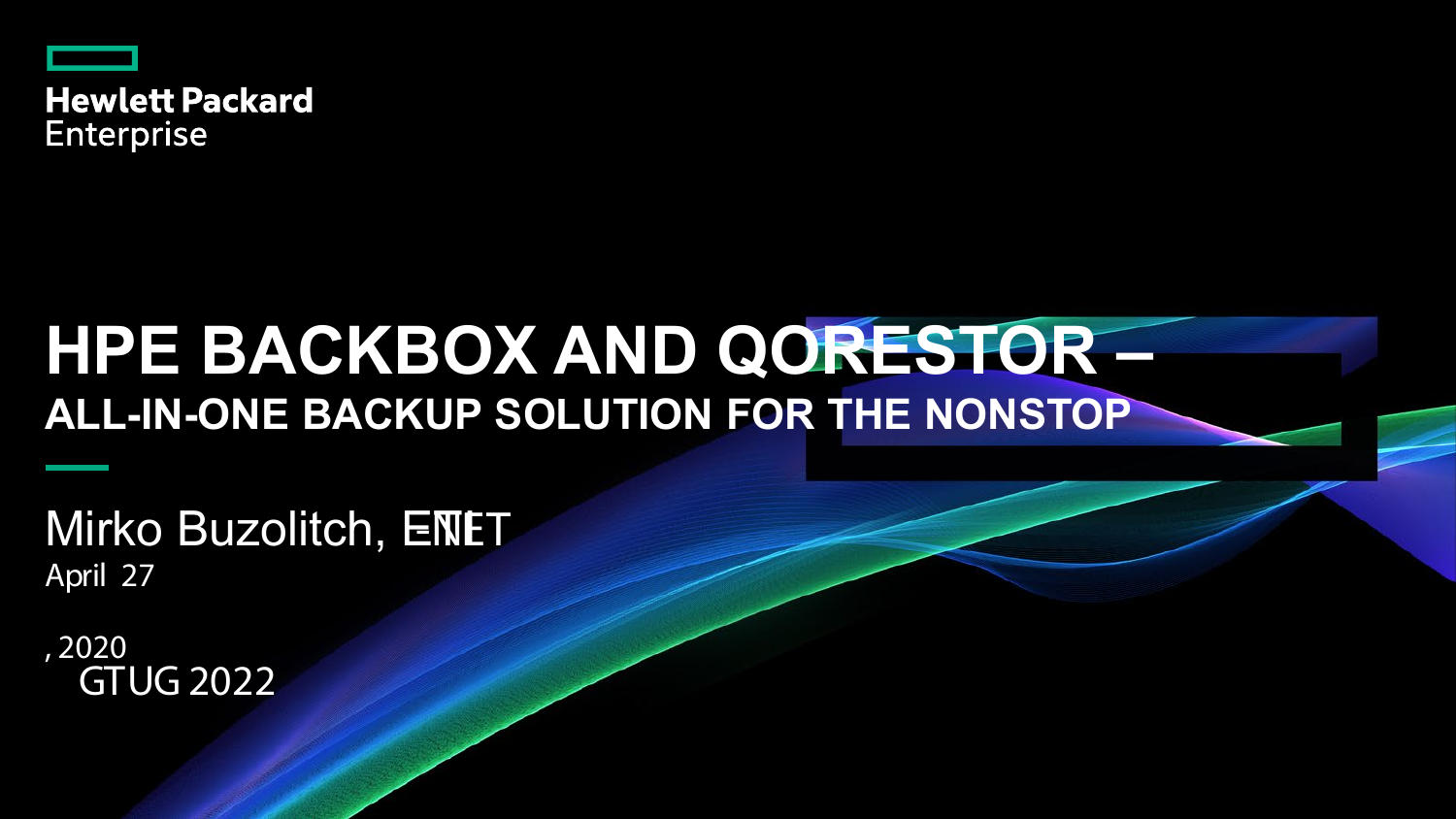

# **HPE BACKBOX AND QORESTOR – ALL-IN-ONE BACKUP SOLUTION FOR THE NONSTOP**

Mirko Buzolitch, ENET April 27

, 2020 GTUG 2022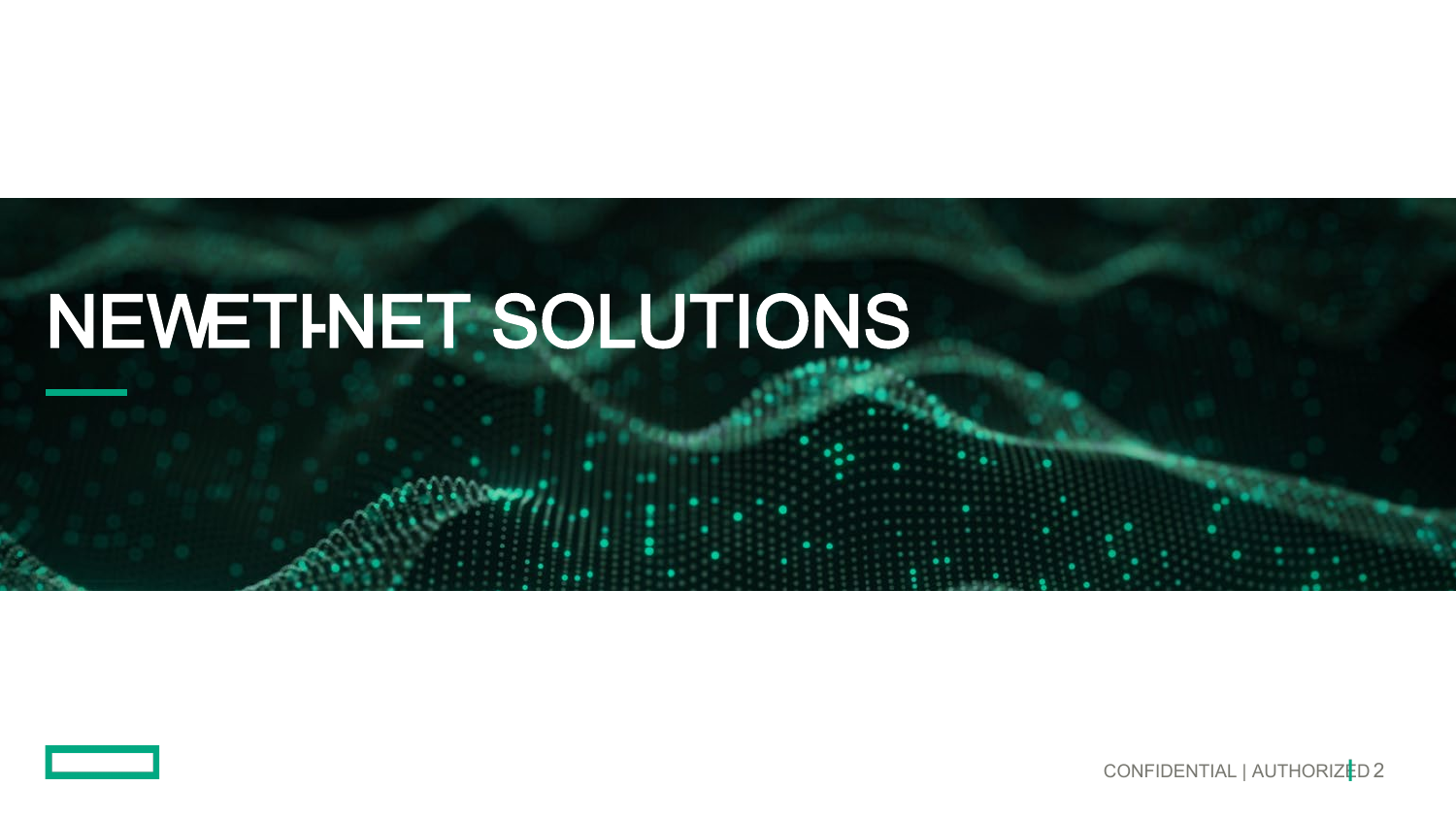# NEWETINET SOLUTIONS

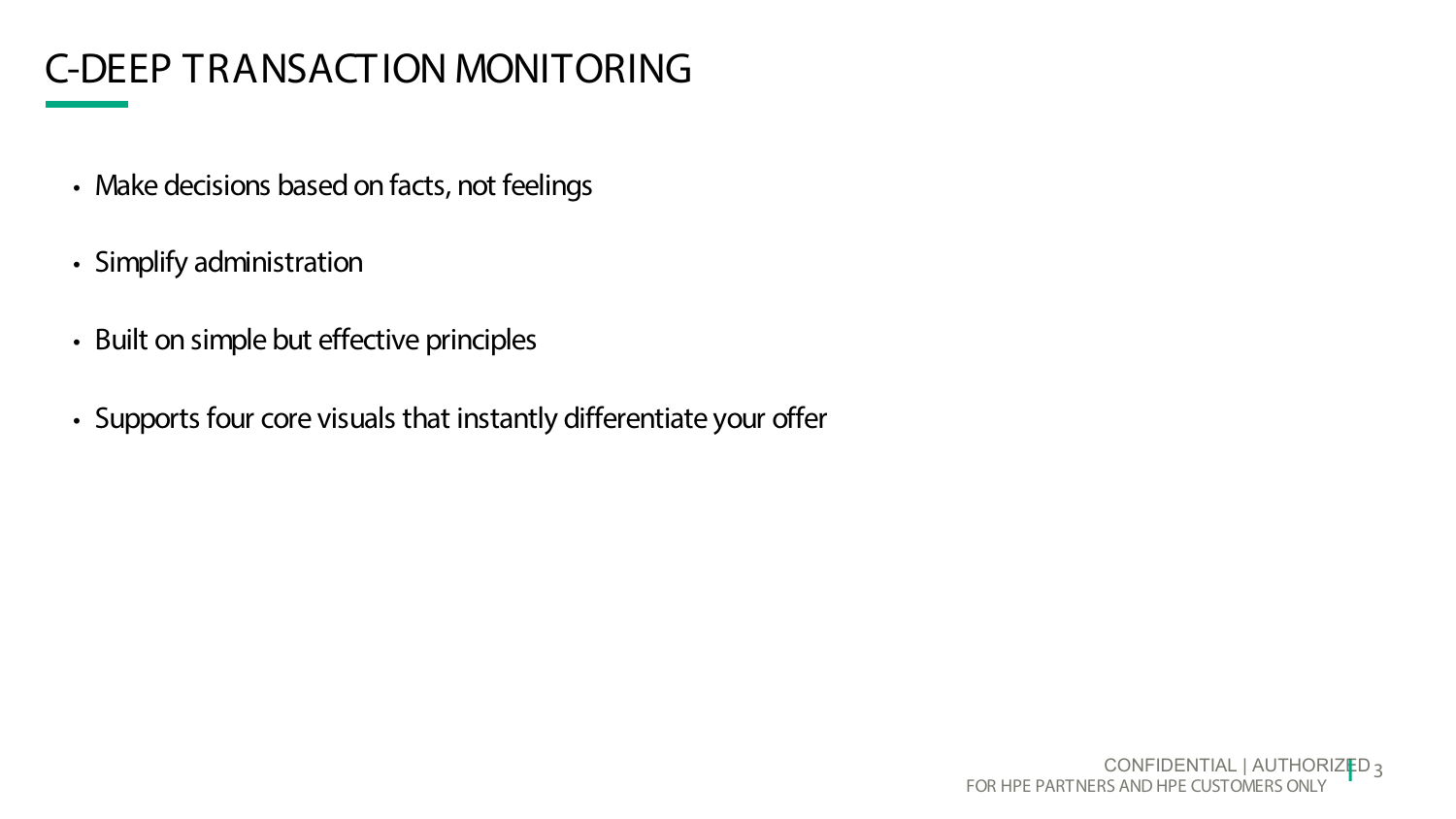## C-DEEP TRANSACTION MONITORING

- Make decisions based on facts, not feelings
- Simplify administration
- Built on simple but effective principles
- Supports four core visuals that instantly differentiate your offer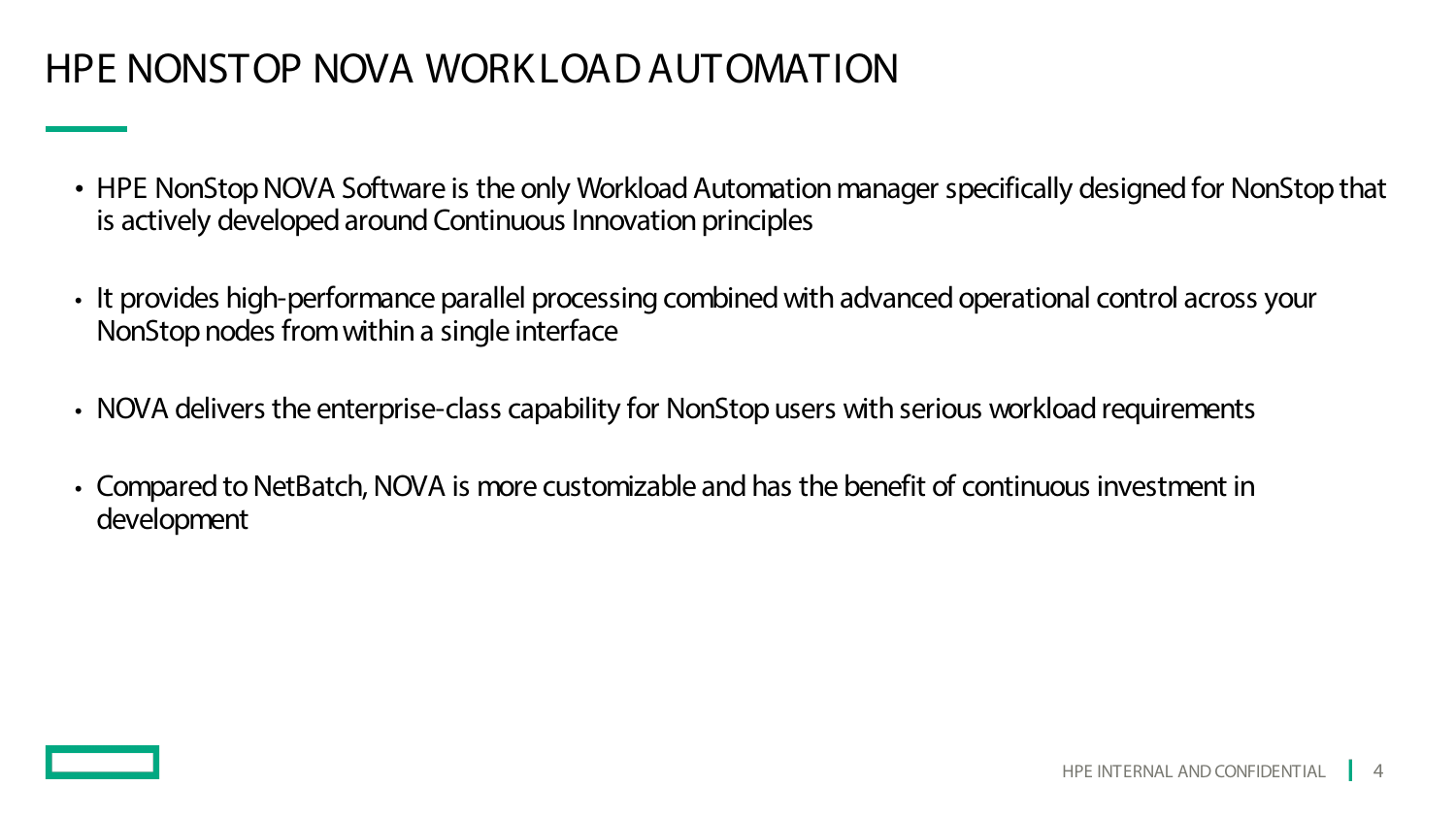### HPE NONSTOP NOVA WORKLOAD AUTOMATION

- HPE NonStop NOVA Software is the only Workload Automation manager specifically designed for NonStop that is actively developed around Continuous Innovation principles
- It provides high-performance parallel processing combined with advanced operational control across your NonStop nodes from within a single interface
- NOVA delivers the enterprise-class capability for NonStop users with serious workload requirements
- Compared to NetBatch, NOVA is more customizable and has the benefit of continuous investment in development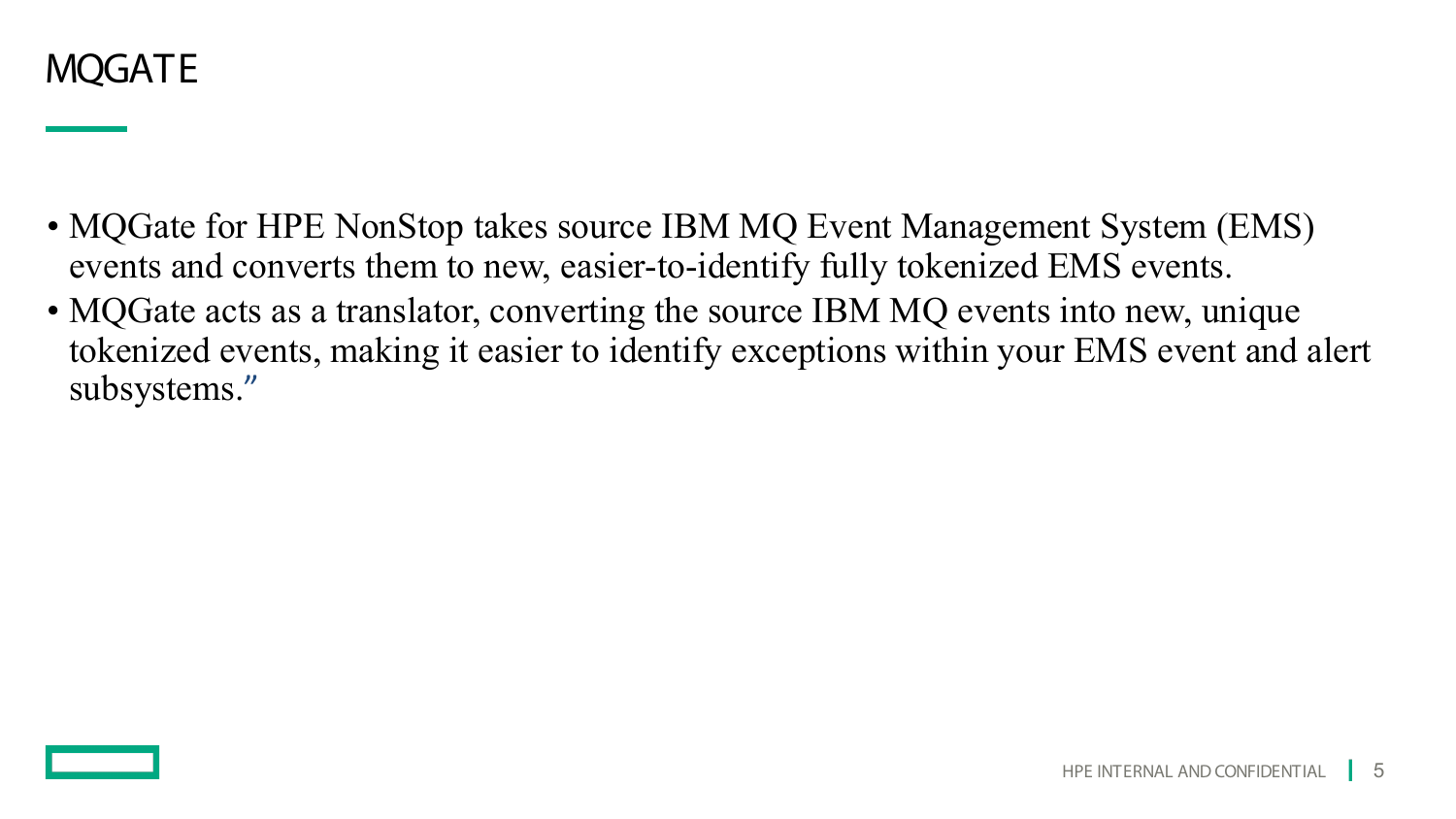

- MQGate for HPE NonStop takes source IBM MQ Event Management System (EMS) events and converts them to new, easier-to-identify fully tokenized EMS events.
- MQGate acts as a translator, converting the source IBM MQ events into new, unique tokenized events, making it easier to identify exceptions within your EMS event and alert subsystems."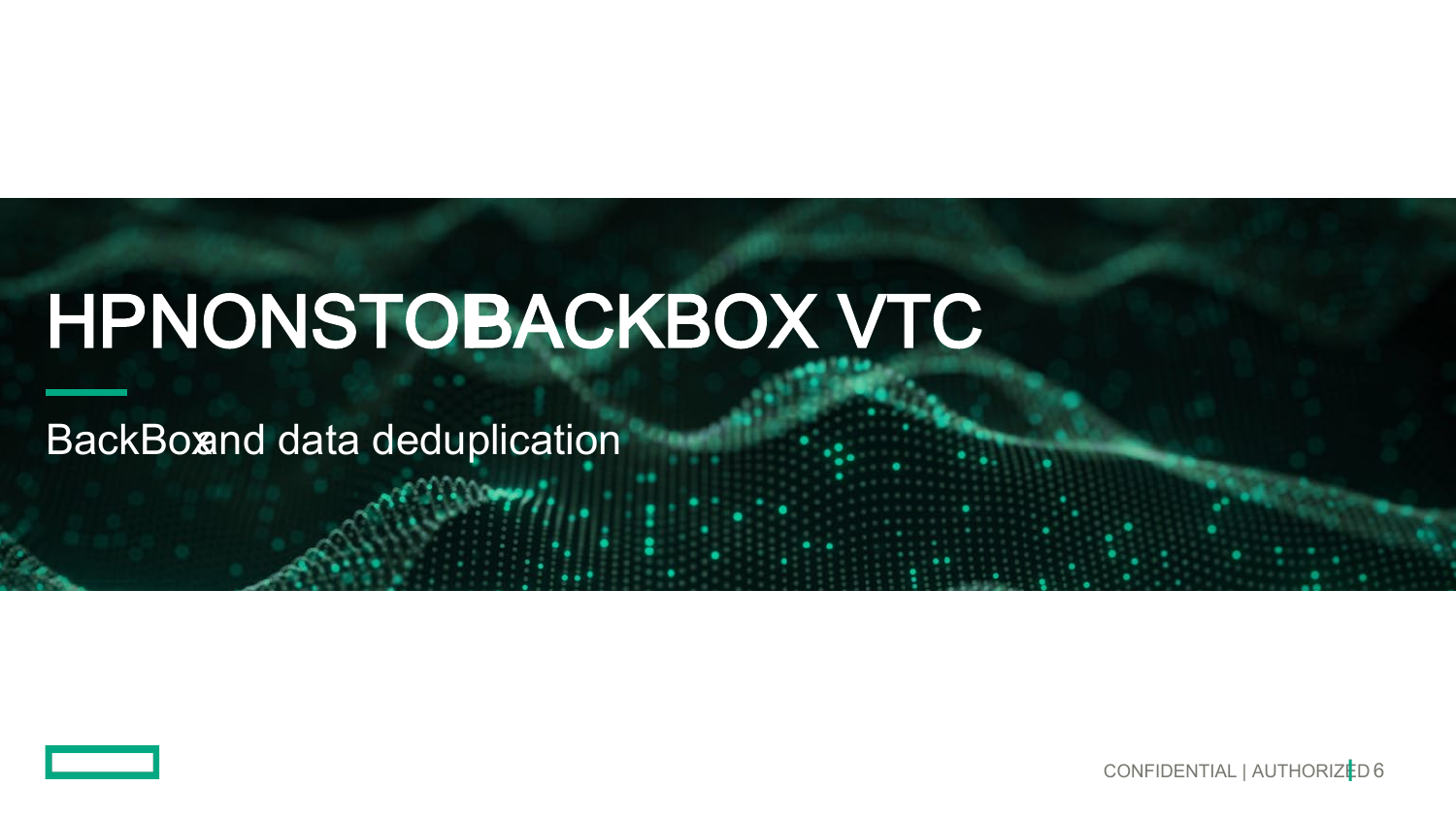# HPNONSTOBACKBOX VTC

**BackBoxnd data deduplication** 

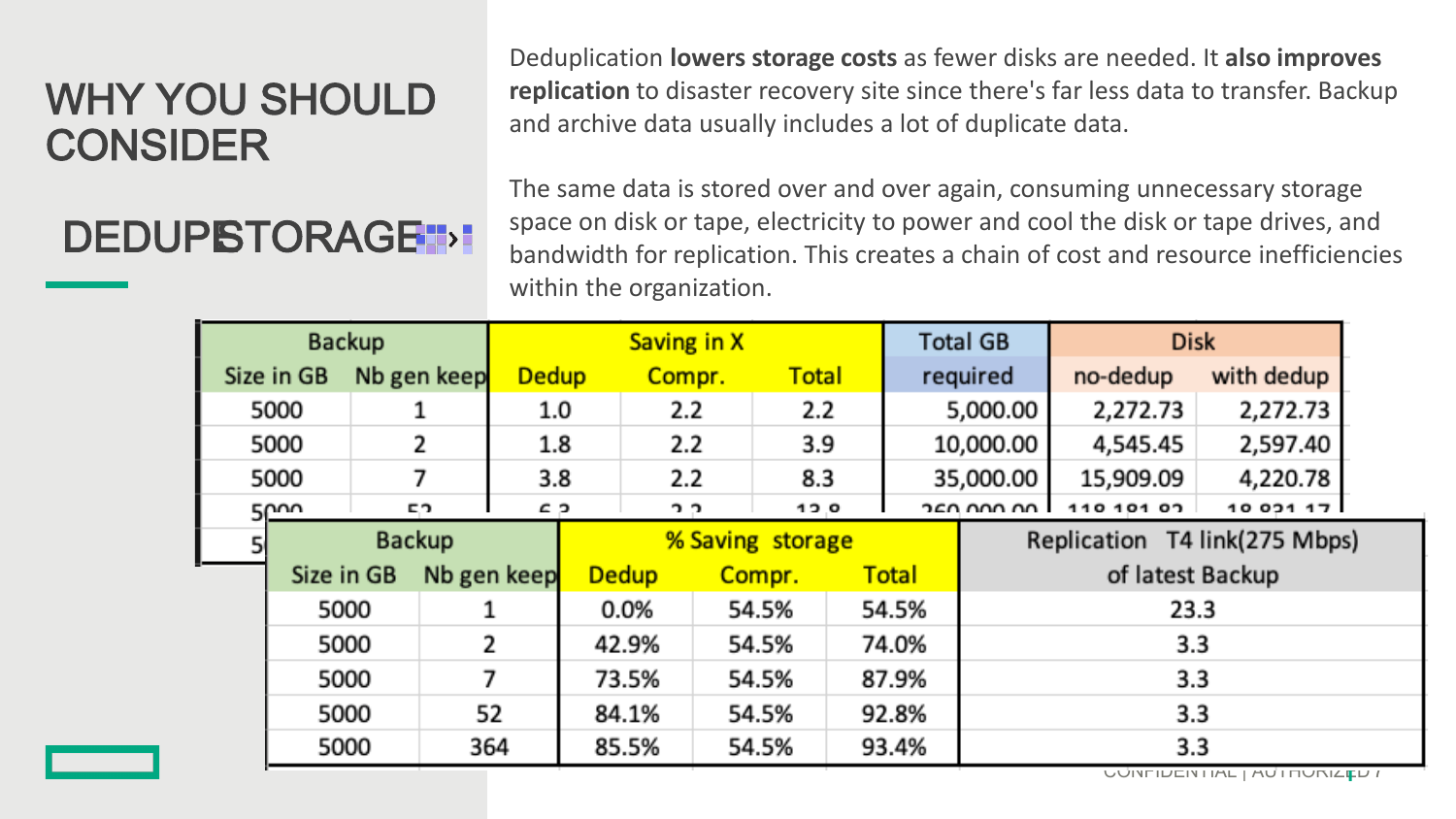### WHY YOU SHOULD CONSIDER

## DEDUPSTORAGE<sup>1</sup>

Deduplication **lowers storage costs** as fewer disks are needed. It **also improves replication** to disaster recovery site since there's far less data to transfer. Backup and archive data usually includes a lot of duplicate data.

The same data is stored over and over again, consuming unnecessary storage space on disk or tape, electricity to power and cool the disk or tape drives, and bandwidth for replication. This creates a chain of cost and resource inefficiencies within the organization.

| <b>Backup</b> |                    |             |             | Saving in X    |                  |        |         |              |              |                               | <b>Total GB</b>  | <b>Disk</b> |            |
|---------------|--------------------|-------------|-------------|----------------|------------------|--------|---------|--------------|--------------|-------------------------------|------------------|-------------|------------|
| Size in GB    |                    | Nb gen keep |             | <b>Dedup</b>   |                  | Compr. |         | <b>Total</b> |              | required                      |                  | no-dedup    | with dedup |
| 5000          |                    |             |             | 1.0            |                  | 2.2    |         | 2.2          |              | 5,000.00                      |                  | 2,272.73    | 2,272.73   |
| 5000          |                    |             | 2           |                | 1.8              |        | 2.2     |              | 3.9          |                               | 10,000.00        | 4,545.45    | 2,597.40   |
| 5000          |                    |             | 7           | 3.8            |                  | 2.2    | 8.3     |              |              |                               | 35,000.00        | 15,909.09   | 4,220.78   |
|               | 5 <sup>cm</sup>    |             | СO.         | C, D           |                  | 2.2    | $-0.01$ |              |              | 250.000.00 l                  |                  | 110 101 07  | 1002117    |
|               | Backup             |             |             |                | % Saving storage |        |         |              |              | Replication T4 link(275 Mbps) |                  |             |            |
|               | Size in GB<br>5000 |             | Nb gen keep |                | <b>Dedup</b>     |        | Compr.  |              | <b>Total</b> |                               | of latest Backup |             |            |
|               |                    |             | 1           |                | 0.0%             |        | 54.5%   |              | 54.5%        |                               | 23.3             |             |            |
|               | 5000               |             |             | $\overline{2}$ |                  | 42.9%  |         | 54.5%        |              | 74.0%                         | 3.3              |             |            |
|               | 5000               |             | 7           |                | 73.5%            |        | 54.5%   |              | 87.9%        |                               | 3.3              |             |            |
|               | 5000               |             | 52          |                | 84.1%            |        | 54.5%   |              | 92.8%        |                               | 3.3              |             |            |
| 5000          |                    | 364         |             |                | 85.5%            |        | 54.5%   |              |              | 93.4%                         | 3.3              |             |            |

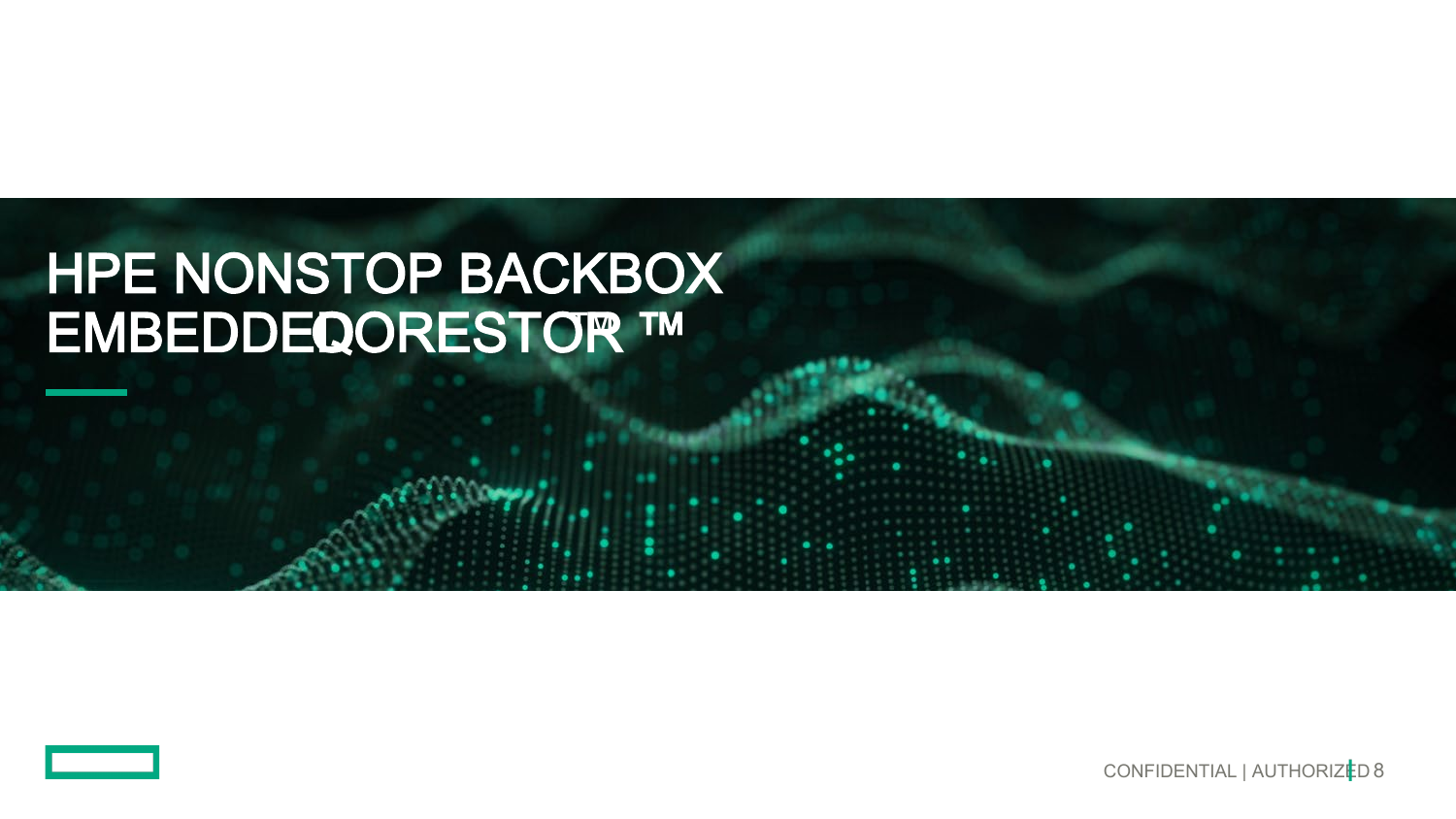## **HPE NONSTOP BACKBOX** EMBEDDEQORESTOR ™

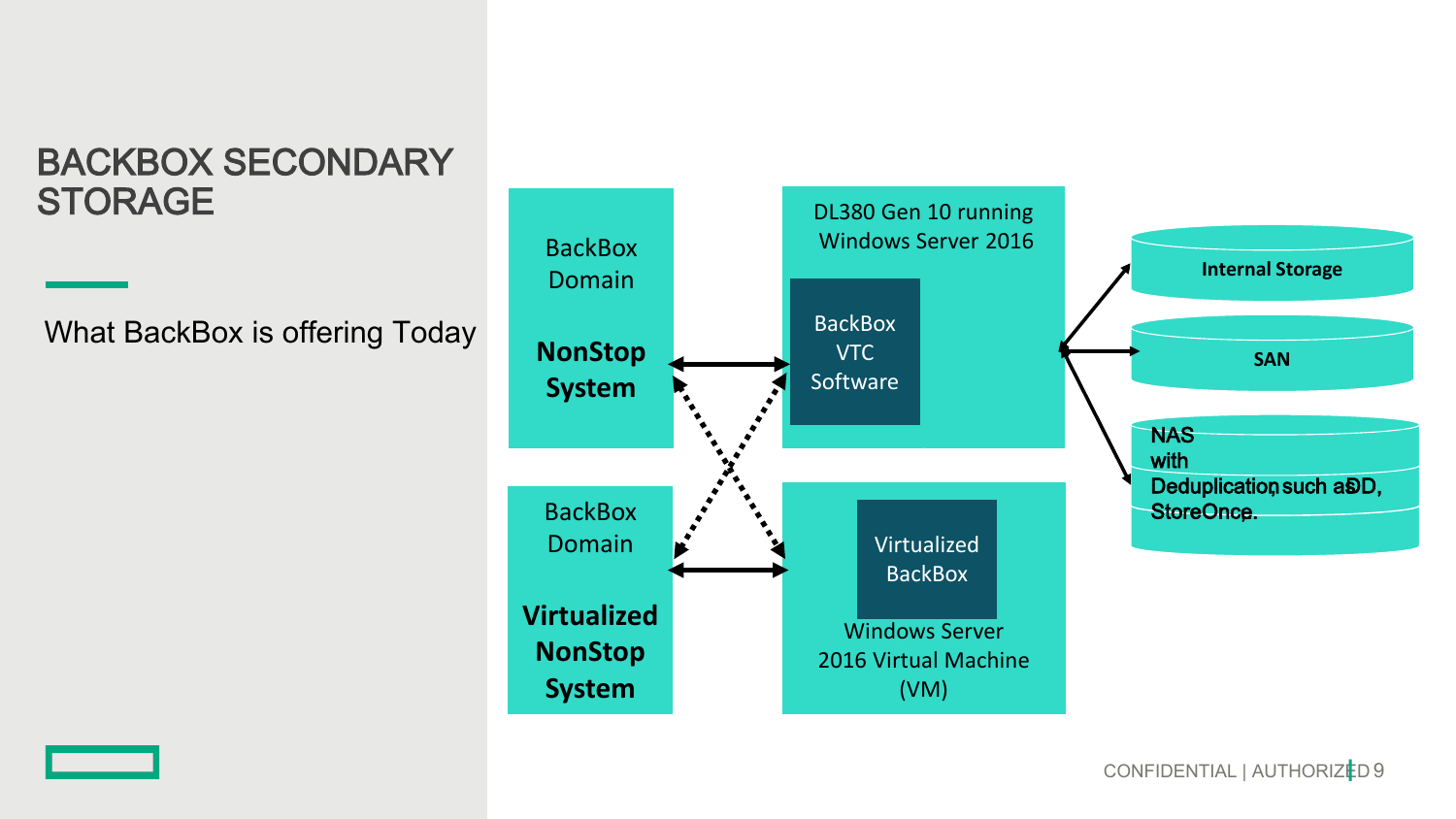### BACKBOX SECONDARY **STORAGE**

What BackBox is offering Today



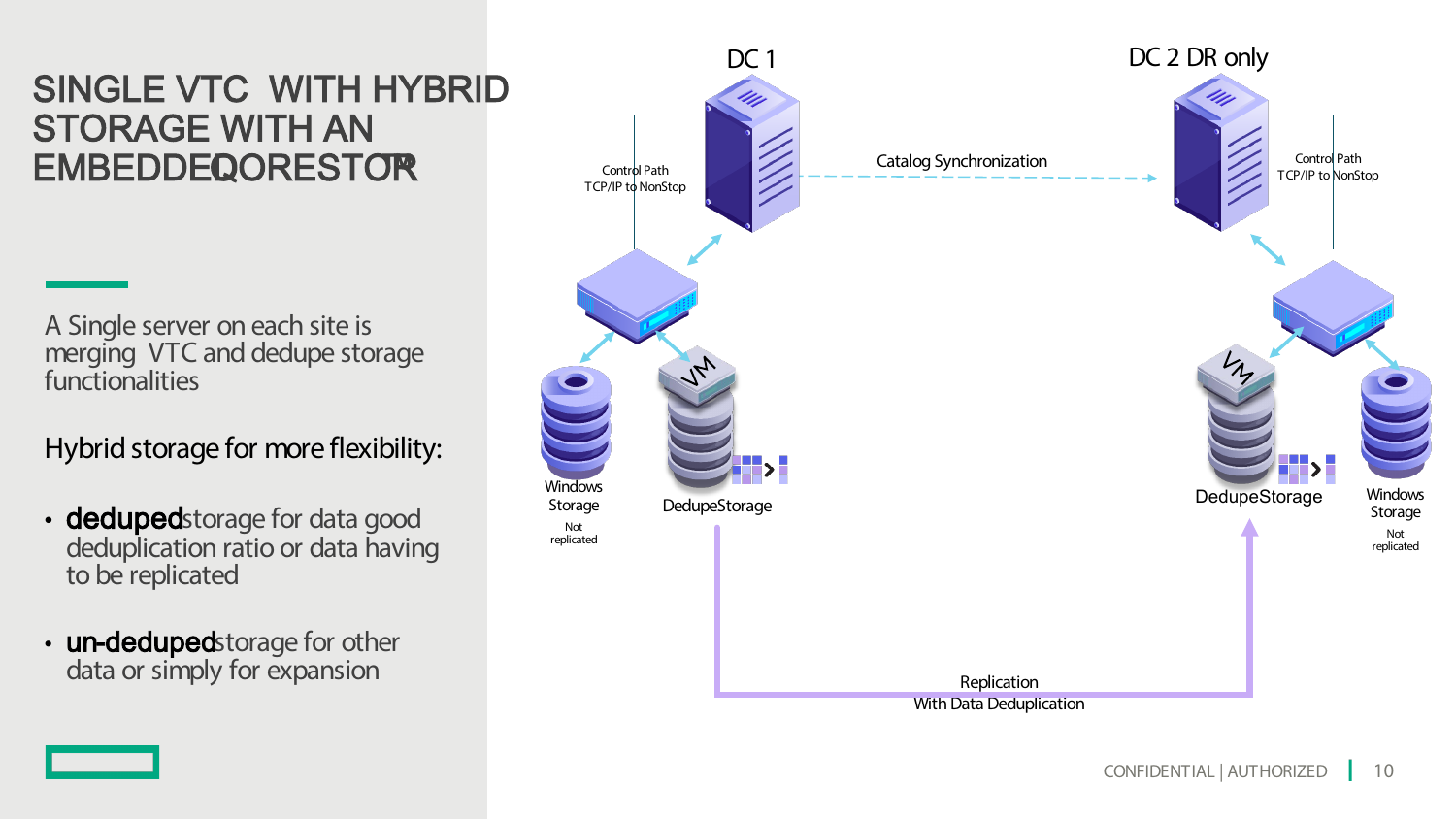### SINGLE VTC WITH HYBRID STORAGE WITH AN **EMBEDDEQORESTOR**

A Single server on each site is merging VTC and dedupe storage functionalities

Hybrid storage for more flexibility:

- dedupedstorage for data good deduplication ratio or data having to be replicated
- un-dedupedstorage for other data or simply for expansion

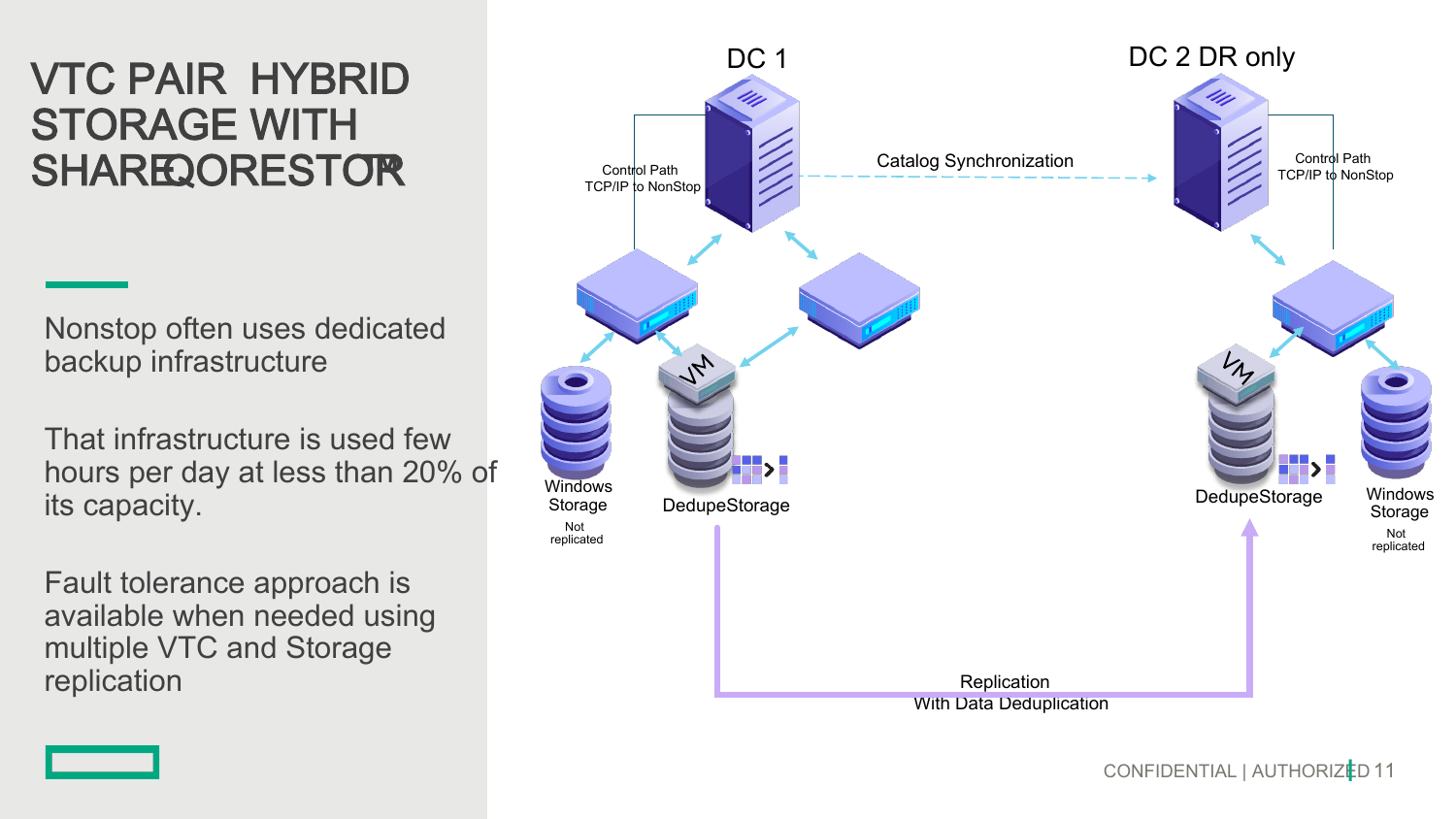## VTC PAIR HYBRID STORAGE WITH SHARE QORESTOR

Nonstop often uses dedicated backup infrastructure

That infrastructure is used few hours per day at less than 20% of its capacity.

Fault tolerance approach is available when needed using multiple VTC and Storage replication

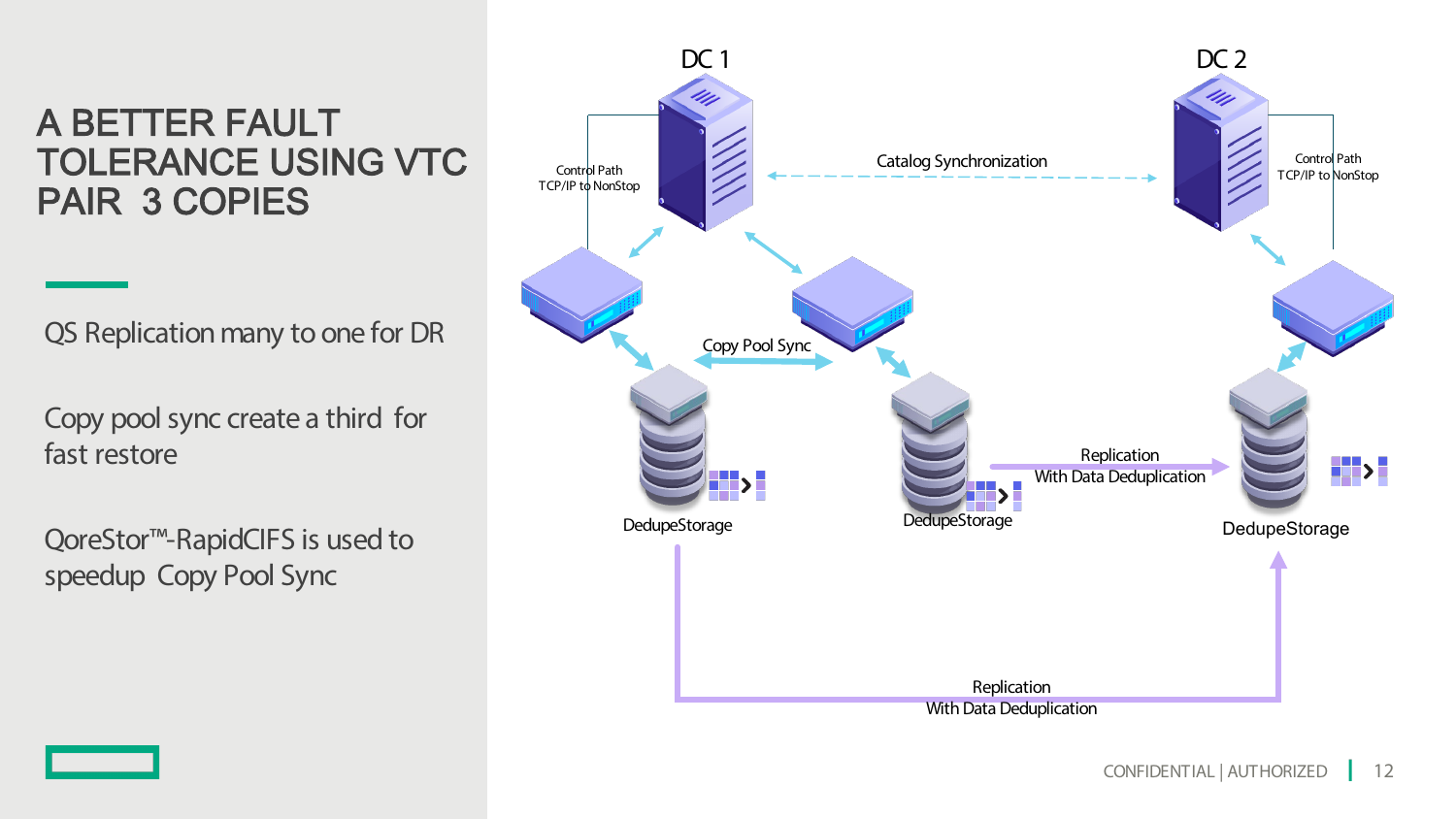### A BETTER FAULT TOLERANCE USING VTC PAIR 3 COPIES

QS Replication many to one for DR

Copy pool sync create a third for fast restore

QoreStor<sup>™</sup>-RapidCIFS is used to speedup Copy Pool Sync

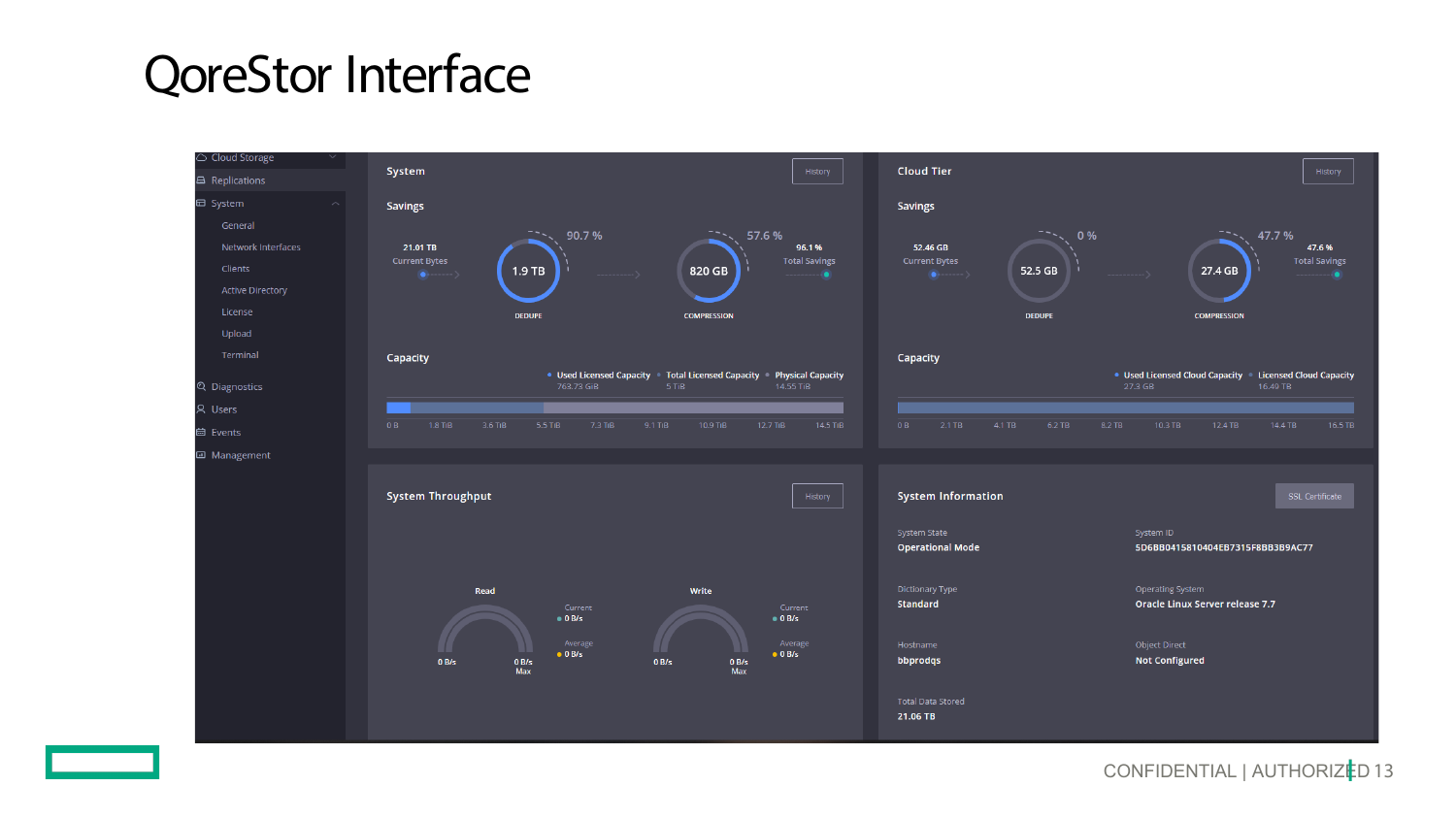## **QoreStor Interface**

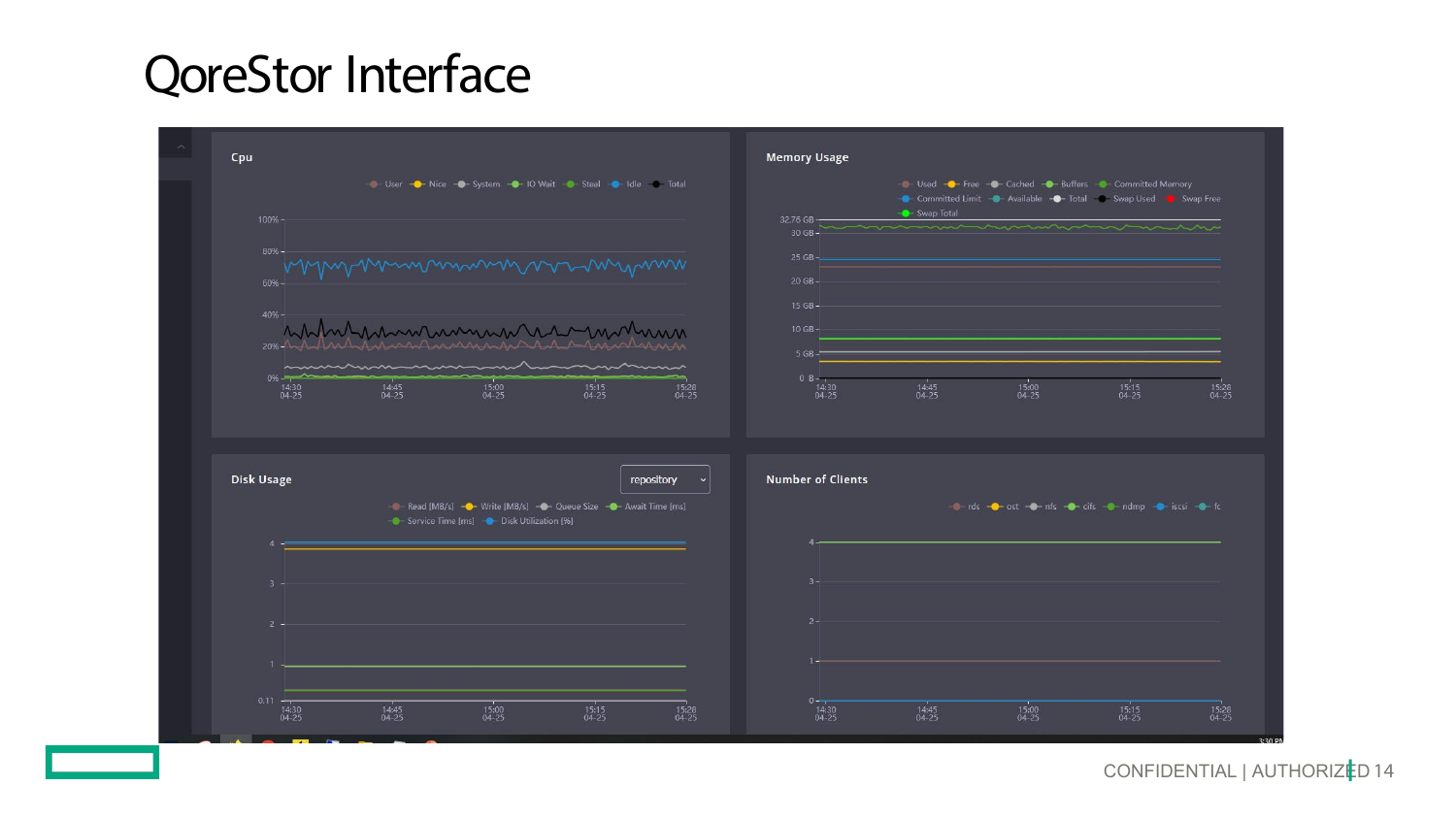## **QoreStor Interface**

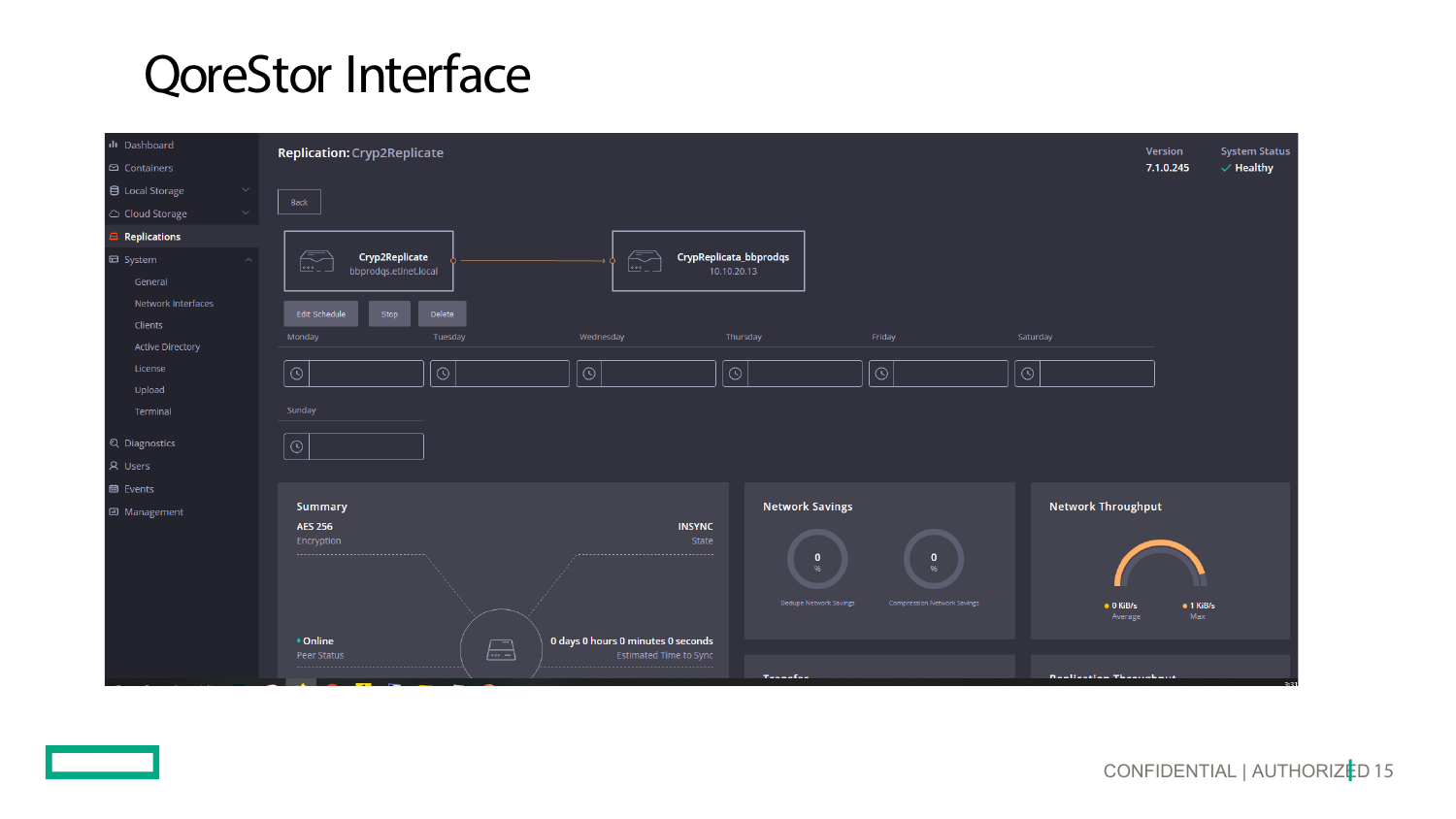## **QoreStor Interface**

| ili Dashboard           | <b>Replication: Cryp2Replicate</b> | <b>System Status</b><br>Version   |                                    |                        |                                    |                              |                          |
|-------------------------|------------------------------------|-----------------------------------|------------------------------------|------------------------|------------------------------------|------------------------------|--------------------------|
| □ Containers            |                                    | 7.1.0.245<br>$\checkmark$ Healthy |                                    |                        |                                    |                              |                          |
| 目 Local Storage         |                                    |                                   |                                    |                        |                                    |                              |                          |
| △ Cloud Storage         | Back                               |                                   |                                    |                        |                                    |                              |                          |
| <b>Replications</b>     |                                    |                                   |                                    |                        |                                    |                              |                          |
| $\boxplus$ System       | $\mathbb{Z}$<br>Cryp2Replicate     |                                   | $\subset$                          | CrypReplicata_bbprodqs |                                    |                              |                          |
| General                 | bbprodqs.etinet.local              |                                   | $\frac{1}{2}$                      | 10.10.20.13            |                                    |                              |                          |
| Network Interfaces      |                                    |                                   |                                    |                        |                                    |                              |                          |
| Clients                 | Edit Schedule<br>Stop              | Delete                            |                                    |                        |                                    |                              |                          |
| <b>Active Directory</b> | Monday                             | Tuesday                           | Wednesday                          | Thursday               | Friday                             | Saturday                     |                          |
| License                 | $\odot$                            | $\odot$                           | $\circ$                            | $\odot$                | $\odot$                            | $\circ$                      |                          |
| Upload                  |                                    |                                   |                                    |                        |                                    |                              |                          |
| Terminal                | Sunday                             |                                   |                                    |                        |                                    |                              |                          |
| Q Diagnostics           | $\odot$                            |                                   |                                    |                        |                                    |                              |                          |
| A Users                 |                                    |                                   |                                    |                        |                                    |                              |                          |
| <b>曲</b> Events         |                                    |                                   |                                    |                        |                                    |                              |                          |
| 回 Management            | Summary                            |                                   |                                    | <b>Network Savings</b> |                                    | <b>Network Throughput</b>    |                          |
|                         | <b>AES 256</b>                     |                                   | <b>INSYNC</b>                      |                        |                                    |                              |                          |
|                         | Encryption<br>                     |                                   | State                              | $\mathbf 0$            | $\mathbf{0}$                       |                              |                          |
|                         |                                    |                                   |                                    | 96                     | $Q_0$                              |                              |                          |
|                         |                                    |                                   |                                    | Dedupe Network Savings | <b>Compression Network Savings</b> |                              |                          |
|                         |                                    |                                   |                                    |                        |                                    | $\bullet$ 0 KiB/s<br>Average | $\bullet$ 1 KiB/s<br>Max |
|                         | • Online                           |                                   | 0 days 0 hours 0 minutes 0 seconds |                        |                                    |                              |                          |
|                         | Peer Status                        | $\sqrt{2}$                        | <b>Estimated Time to Sync</b>      |                        |                                    |                              |                          |
|                         | <b>Contract Contract</b>           |                                   |                                    | Tennelse               |                                    | Danitzation Thumsdoom        | 2.21                     |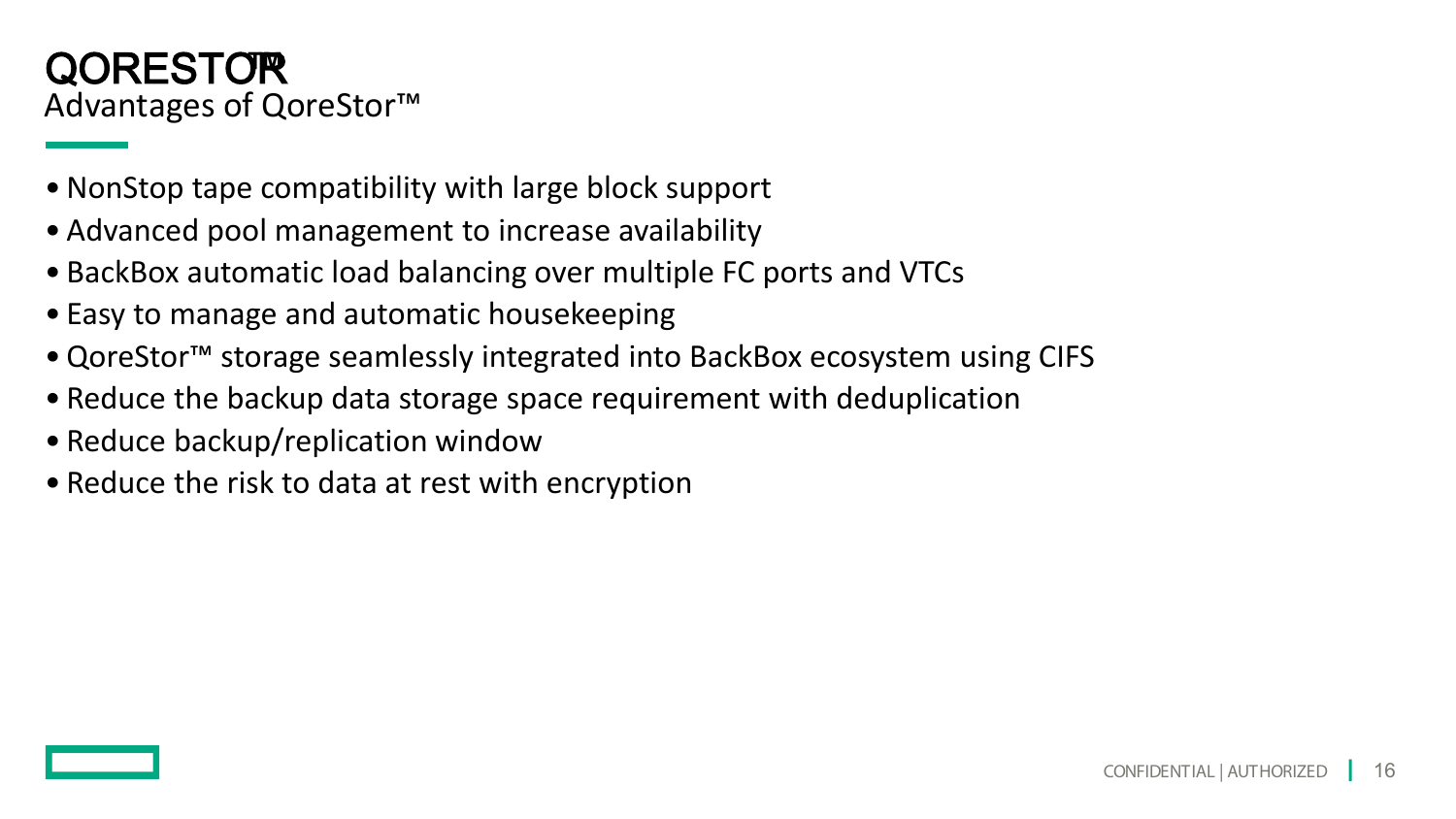### Advantages of QoreStor™ QORESTOR**™**

- •NonStop tape compatibility with large block support
- Advanced pool management to increase availability
- BackBox automatic load balancing over multiple FC ports and VTCs
- Easy to manage and automatic housekeeping
- •QoreStor™ storage seamlessly integrated into BackBox ecosystem using CIFS
- Reduce the backup data storage space requirement with deduplication
- Reduce backup/replication window
- Reduce the risk to data at rest with encryption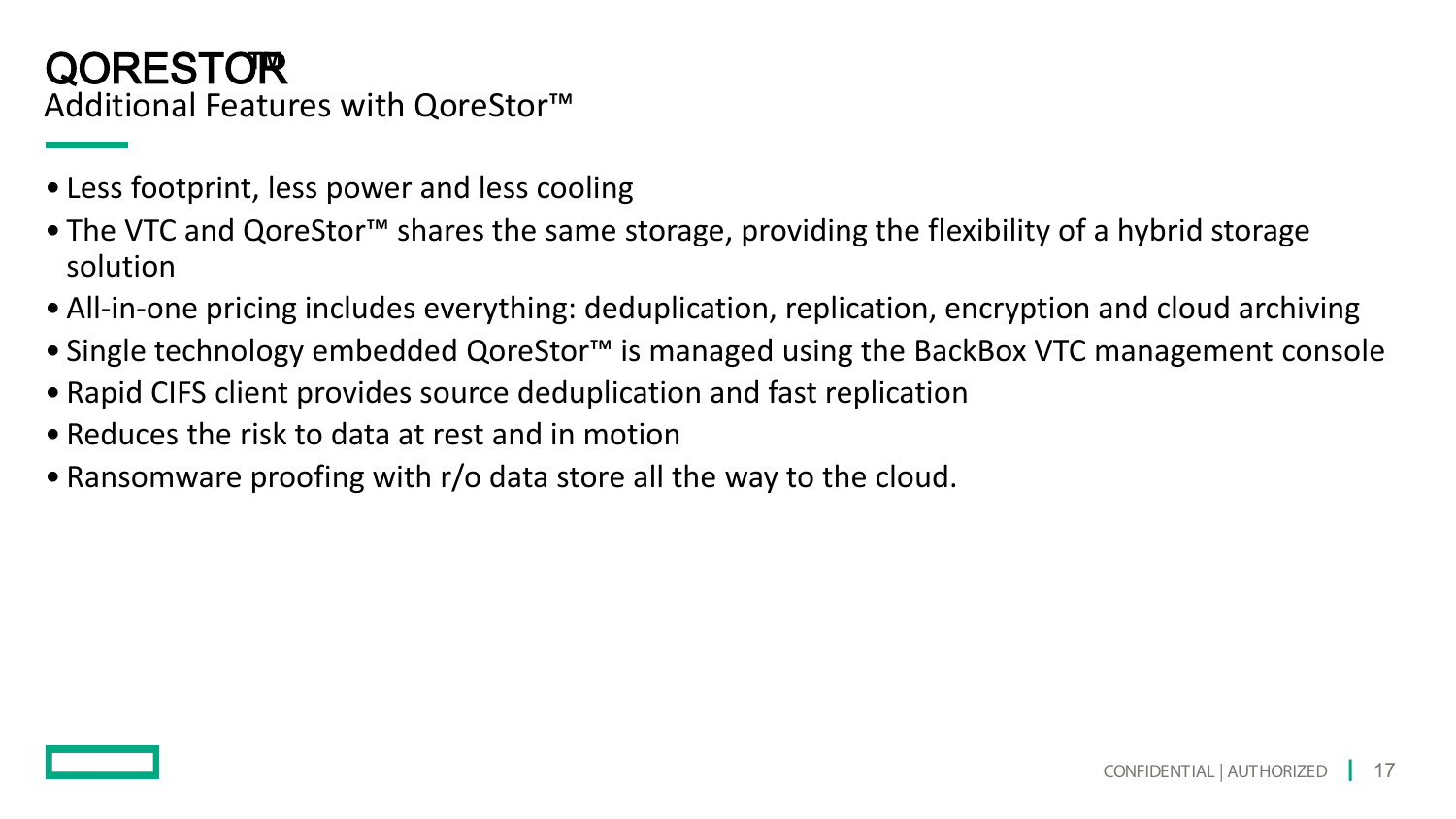### Additional Features with QoreStor™ QORESTOR**™**

- Less footprint, less power and less cooling
- The VTC and QoreStor<sup>™</sup> shares the same storage, providing the flexibility of a hybrid storage solution
- All-in-one pricing includes everything: deduplication, replication, encryption and cloud archiving
- Single technology embedded QoreStor™ is managed using the BackBox VTC management console
- Rapid CIFS client provides source deduplication and fast replication
- Reduces the risk to data at rest and in motion
- Ransomware proofing with r/o data store all the way to the cloud.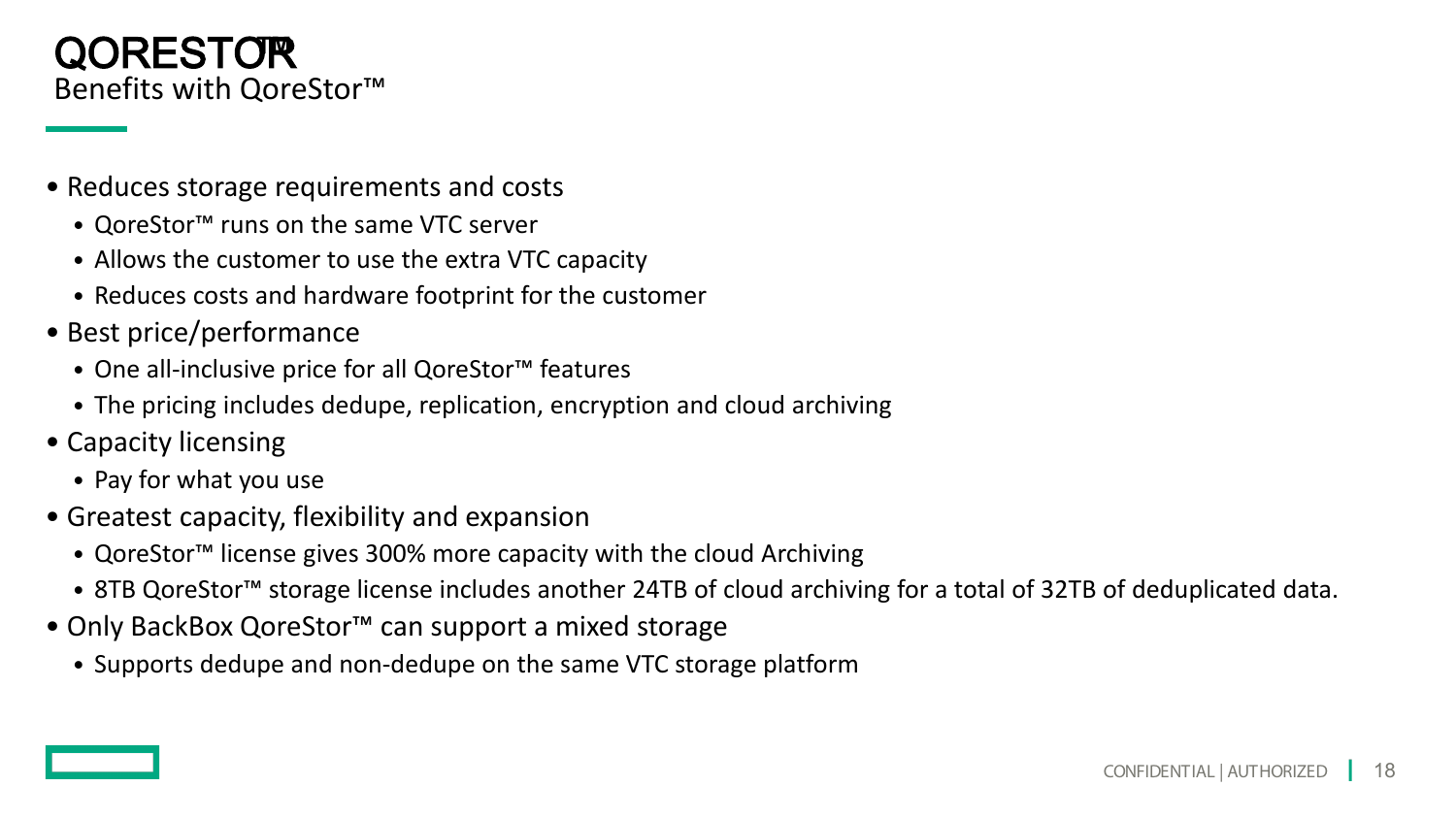#### Benefits with QoreStor™ QORESTOR**™**

- Reduces storage requirements and costs
	- QoreStor™ runs on the same VTC server
	- Allows the customer to use the extra VTC capacity
	- Reduces costs and hardware footprint for the customer
- Best price/performance
	- One all-inclusive price for all QoreStor™ features
	- The pricing includes dedupe, replication, encryption and cloud archiving
- Capacity licensing
	- Pay for what you use
- Greatest capacity, flexibility and expansion
	- QoreStor™ license gives 300% more capacity with the cloud Archiving
	- 8TB QoreStor™ storage license includes another 24TB of cloud archiving for a total of 32TB of deduplicated data.
- Only BackBox QoreStor™ can support a mixed storage
	- Supports dedupe and non-dedupe on the same VTC storage platform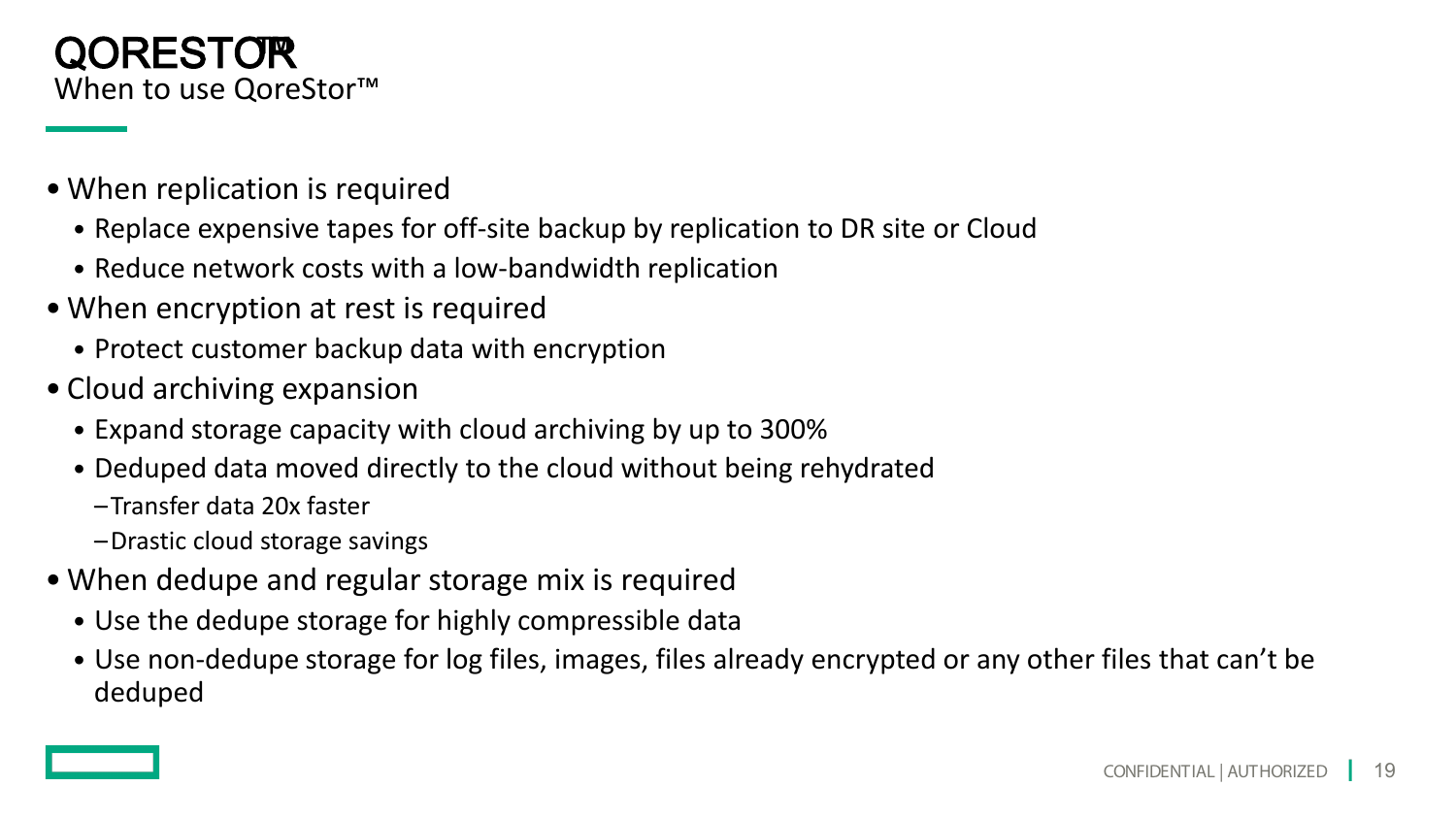#### When to use QoreStor<sup>™</sup> QORESTOR**™**

- When replication is required
	- Replace expensive tapes for off-site backup by replication to DR site or Cloud
	- Reduce network costs with a low-bandwidth replication
- When encryption at rest is required
	- Protect customer backup data with encryption
- Cloud archiving expansion
	- Expand storage capacity with cloud archiving by up to 300%
	- Deduped data moved directly to the cloud without being rehydrated
		- –Transfer data 20x faster
		- –Drastic cloud storage savings
- When dedupe and regular storage mix is required
	- Use the dedupe storage for highly compressible data
	- Use non-dedupe storage for log files, images, files already encrypted or any other files that can't be deduped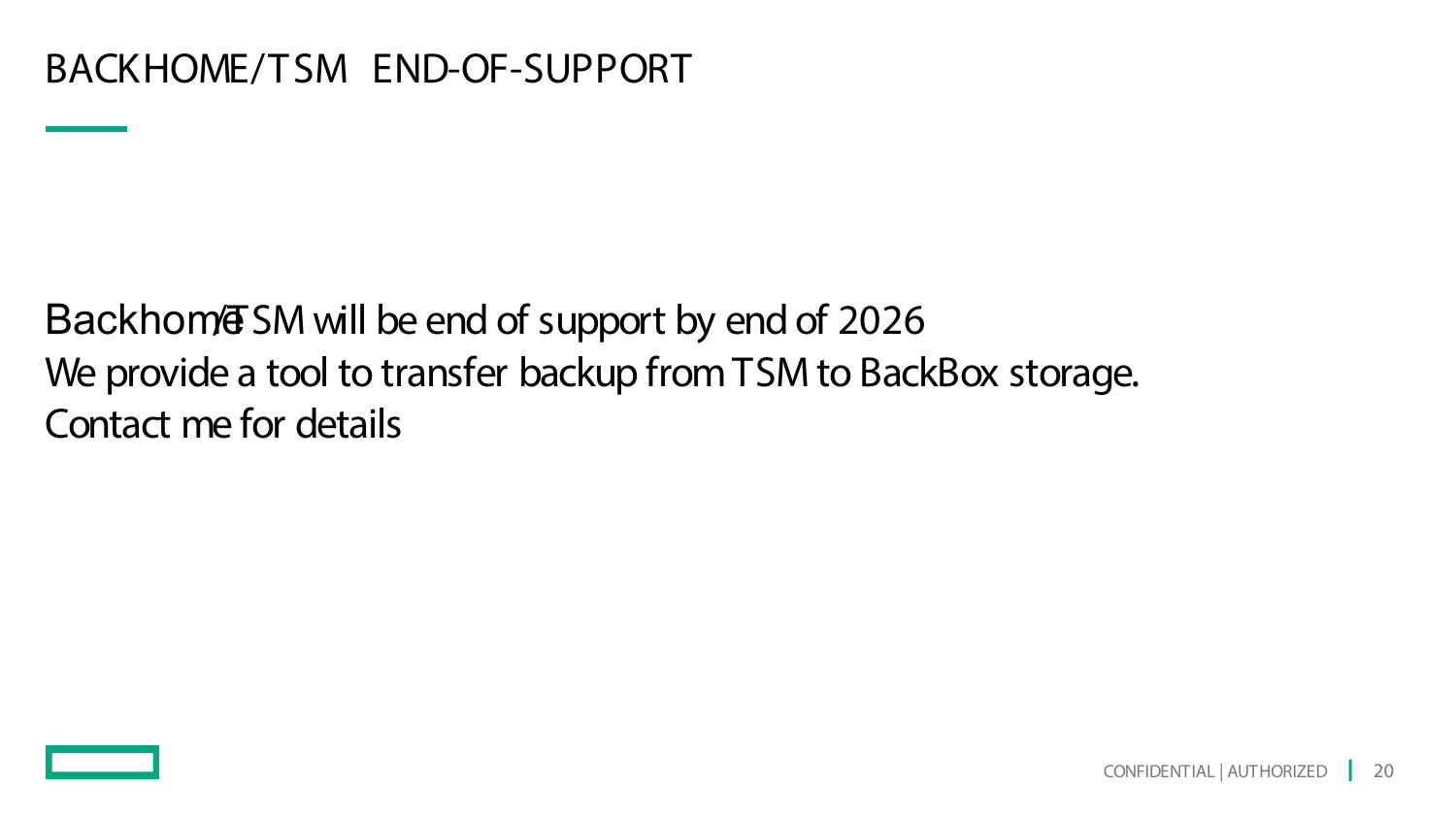Backhom<sup><sup>T</sup>SM will be end of support by end of 2026</sup> We provide a tool to transfer backup from TSM to BackBox storage. Contact me for details